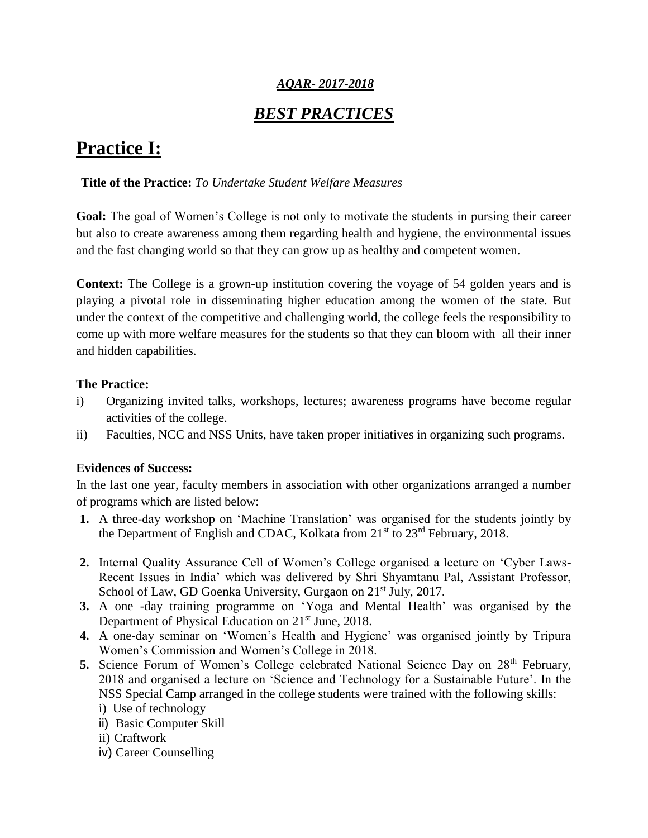# *AQAR- 2017-2018*

# *BEST PRACTICES*

# **Practice I:**

#### **Title of the Practice:** *To Undertake Student Welfare Measures*

**Goal:** The goal of Women's College is not only to motivate the students in pursing their career but also to create awareness among them regarding health and hygiene, the environmental issues and the fast changing world so that they can grow up as healthy and competent women.

**Context:** The College is a grown-up institution covering the voyage of 54 golden years and is playing a pivotal role in disseminating higher education among the women of the state. But under the context of the competitive and challenging world, the college feels the responsibility to come up with more welfare measures for the students so that they can bloom with all their inner and hidden capabilities.

#### **The Practice:**

- i) Organizing invited talks, workshops, lectures; awareness programs have become regular activities of the college.
- ii) Faculties, NCC and NSS Units, have taken proper initiatives in organizing such programs.

#### **Evidences of Success:**

In the last one year, faculty members in association with other organizations arranged a number of programs which are listed below:

- **1.** A three-day workshop on 'Machine Translation' was organised for the students jointly by the Department of English and CDAC, Kolkata from 21<sup>st</sup> to 23<sup>rd</sup> February, 2018.
- **2.** Internal Quality Assurance Cell of Women's College organised a lecture on 'Cyber Laws-Recent Issues in India' which was delivered by Shri Shyamtanu Pal, Assistant Professor, School of Law, GD Goenka University, Gurgaon on 21<sup>st</sup> July, 2017.
- **3.** A one -day training programme on 'Yoga and Mental Health' was organised by the Department of Physical Education on 21<sup>st</sup> June, 2018.
- **4.** A one-day seminar on 'Women's Health and Hygiene' was organised jointly by Tripura Women's Commission and Women's College in 2018.
- **5.** Science Forum of Women's College celebrated National Science Day on 28<sup>th</sup> February, 2018 and organised a lecture on 'Science and Technology for a Sustainable Future'. In the NSS Special Camp arranged in the college students were trained with the following skills:
	- i) Use of technology
	- ii) Basic Computer Skill
	- ii) Craftwork
	- iv) Career Counselling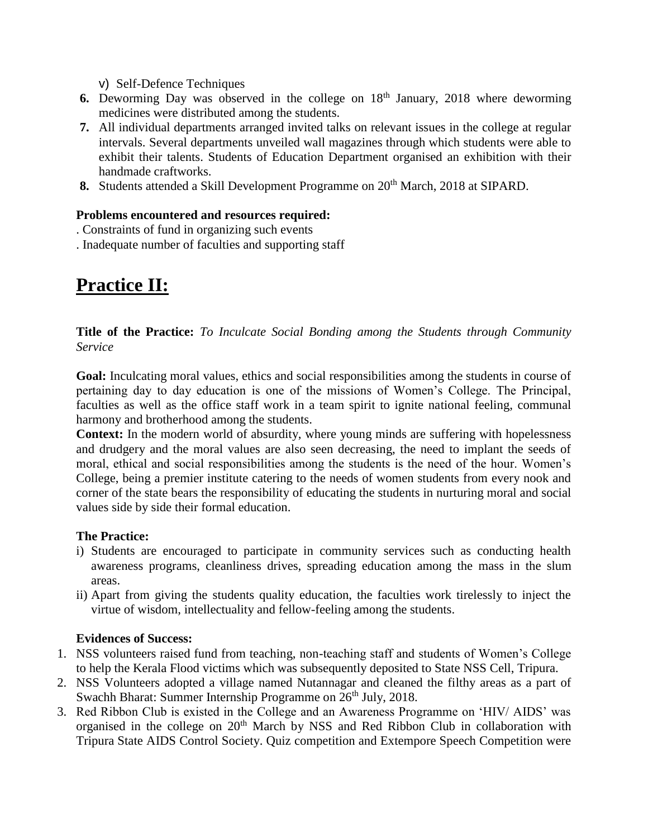v) Self-Defence Techniques

- **6.** Deworming Day was observed in the college on  $18<sup>th</sup>$  January, 2018 where deworming medicines were distributed among the students.
- **7.** All individual departments arranged invited talks on relevant issues in the college at regular intervals. Several departments unveiled wall magazines through which students were able to exhibit their talents. Students of Education Department organised an exhibition with their handmade craftworks.
- **8.** Students attended a Skill Development Programme on 20<sup>th</sup> March, 2018 at SIPARD.

### **Problems encountered and resources required:**

- . Constraints of fund in organizing such events
- . Inadequate number of faculties and supporting staff

# **Practice II:**

**Title of the Practice:** *To Inculcate Social Bonding among the Students through Community Service*

**Goal:** Inculcating moral values, ethics and social responsibilities among the students in course of pertaining day to day education is one of the missions of Women's College. The Principal, faculties as well as the office staff work in a team spirit to ignite national feeling, communal harmony and brotherhood among the students.

**Context:** In the modern world of absurdity, where young minds are suffering with hopelessness and drudgery and the moral values are also seen decreasing, the need to implant the seeds of moral, ethical and social responsibilities among the students is the need of the hour. Women's College, being a premier institute catering to the needs of women students from every nook and corner of the state bears the responsibility of educating the students in nurturing moral and social values side by side their formal education.

# **The Practice:**

- i) Students are encouraged to participate in community services such as conducting health awareness programs, cleanliness drives, spreading education among the mass in the slum areas.
- ii) Apart from giving the students quality education, the faculties work tirelessly to inject the virtue of wisdom, intellectuality and fellow-feeling among the students.

# **Evidences of Success:**

- 1. NSS volunteers raised fund from teaching, non-teaching staff and students of Women's College to help the Kerala Flood victims which was subsequently deposited to State NSS Cell, Tripura.
- 2. NSS Volunteers adopted a village named Nutannagar and cleaned the filthy areas as a part of Swachh Bharat: Summer Internship Programme on  $26<sup>th</sup>$  July, 2018.
- 3. Red Ribbon Club is existed in the College and an Awareness Programme on 'HIV/ AIDS' was organised in the college on 20<sup>th</sup> March by NSS and Red Ribbon Club in collaboration with Tripura State AIDS Control Society. Quiz competition and Extempore Speech Competition were